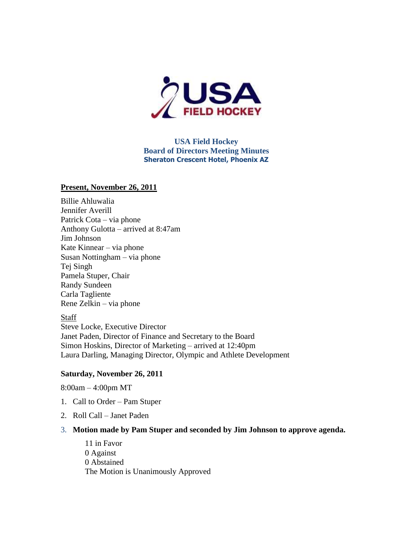

# **USA Field Hockey Board of Directors Meeting Minutes Sheraton Crescent Hotel, Phoenix AZ**

## **Present, November 26, 2011**

Billie Ahluwalia Jennifer Averill Patrick Cota – via phone Anthony Gulotta – arrived at 8:47am Jim Johnson Kate Kinnear – via phone Susan Nottingham – via phone Tej Singh Pamela Stuper, Chair Randy Sundeen Carla Tagliente Rene Zelkin – via phone

## Staff

Steve Locke, Executive Director Janet Paden, Director of Finance and Secretary to the Board Simon Hoskins, Director of Marketing – arrived at 12:40pm Laura Darling, Managing Director, Olympic and Athlete Development

## **Saturday, November 26, 2011**

8:00am – 4:00pm MT

- 1. Call to Order Pam Stuper
- 2. Roll Call Janet Paden
- 3. **Motion made by Pam Stuper and seconded by Jim Johnson to approve agenda.**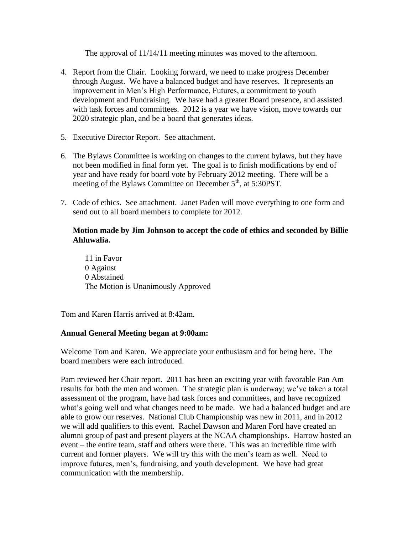The approval of 11/14/11 meeting minutes was moved to the afternoon.

- 4. Report from the Chair. Looking forward, we need to make progress December through August. We have a balanced budget and have reserves. It represents an improvement in Men's High Performance, Futures, a commitment to youth development and Fundraising. We have had a greater Board presence, and assisted with task forces and committees. 2012 is a year we have vision, move towards our 2020 strategic plan, and be a board that generates ideas.
- 5. Executive Director Report. See attachment.
- 6. The Bylaws Committee is working on changes to the current bylaws, but they have not been modified in final form yet. The goal is to finish modifications by end of year and have ready for board vote by February 2012 meeting. There will be a meeting of the Bylaws Committee on December  $5<sup>th</sup>$ , at  $5:30PST$ .
- 7. Code of ethics. See attachment. Janet Paden will move everything to one form and send out to all board members to complete for 2012.

# **Motion made by Jim Johnson to accept the code of ethics and seconded by Billie Ahluwalia.**

11 in Favor 0 Against 0 Abstained The Motion is Unanimously Approved

Tom and Karen Harris arrived at 8:42am.

# **Annual General Meeting began at 9:00am:**

Welcome Tom and Karen. We appreciate your enthusiasm and for being here. The board members were each introduced.

Pam reviewed her Chair report. 2011 has been an exciting year with favorable Pan Am results for both the men and women. The strategic plan is underway; we've taken a total assessment of the program, have had task forces and committees, and have recognized what's going well and what changes need to be made. We had a balanced budget and are able to grow our reserves. National Club Championship was new in 2011, and in 2012 we will add qualifiers to this event. Rachel Dawson and Maren Ford have created an alumni group of past and present players at the NCAA championships. Harrow hosted an event – the entire team, staff and others were there. This was an incredible time with current and former players. We will try this with the men's team as well. Need to improve futures, men's, fundraising, and youth development. We have had great communication with the membership.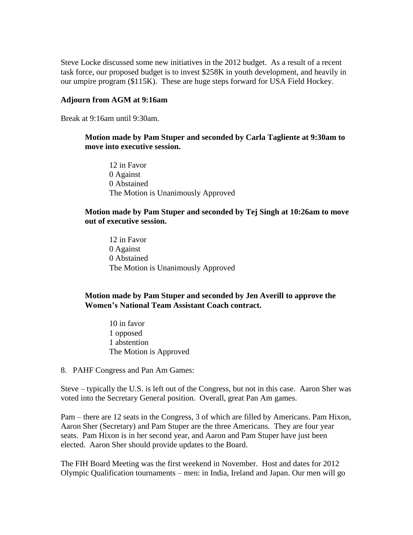Steve Locke discussed some new initiatives in the 2012 budget. As a result of a recent task force, our proposed budget is to invest \$258K in youth development, and heavily in our umpire program (\$115K). These are huge steps forward for USA Field Hockey.

#### **Adjourn from AGM at 9:16am**

Break at 9:16am until 9:30am.

## **Motion made by Pam Stuper and seconded by Carla Tagliente at 9:30am to move into executive session.**

12 in Favor 0 Against 0 Abstained The Motion is Unanimously Approved

#### **Motion made by Pam Stuper and seconded by Tej Singh at 10:26am to move out of executive session.**

12 in Favor 0 Against 0 Abstained The Motion is Unanimously Approved

## **Motion made by Pam Stuper and seconded by Jen Averill to approve the Women's National Team Assistant Coach contract.**

10 in favor 1 opposed 1 abstention The Motion is Approved

8. PAHF Congress and Pan Am Games:

Steve – typically the U.S. is left out of the Congress, but not in this case. Aaron Sher was voted into the Secretary General position. Overall, great Pan Am games.

Pam – there are 12 seats in the Congress, 3 of which are filled by Americans. Pam Hixon, Aaron Sher (Secretary) and Pam Stuper are the three Americans. They are four year seats. Pam Hixon is in her second year, and Aaron and Pam Stuper have just been elected. Aaron Sher should provide updates to the Board.

The FIH Board Meeting was the first weekend in November. Host and dates for 2012 Olympic Qualification tournaments – men: in India, Ireland and Japan. Our men will go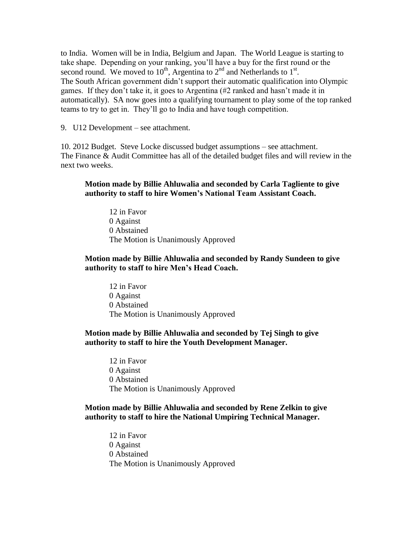to India. Women will be in India, Belgium and Japan. The World League is starting to take shape. Depending on your ranking, you'll have a buy for the first round or the second round. We moved to  $10^{th}$ , Argentina to  $2^{nd}$  and Netherlands to  $1^{st}$ . The South African government didn't support their automatic qualification into Olympic games. If they don't take it, it goes to Argentina (#2 ranked and hasn't made it in automatically). SA now goes into a qualifying tournament to play some of the top ranked teams to try to get in. They'll go to India and have tough competition.

9. U12 Development – see attachment.

10. 2012 Budget. Steve Locke discussed budget assumptions – see attachment. The Finance & Audit Committee has all of the detailed budget files and will review in the next two weeks.

## **Motion made by Billie Ahluwalia and seconded by Carla Tagliente to give authority to staff to hire Women's National Team Assistant Coach.**

12 in Favor 0 Against 0 Abstained The Motion is Unanimously Approved

## **Motion made by Billie Ahluwalia and seconded by Randy Sundeen to give authority to staff to hire Men's Head Coach.**

12 in Favor 0 Against 0 Abstained The Motion is Unanimously Approved

## **Motion made by Billie Ahluwalia and seconded by Tej Singh to give authority to staff to hire the Youth Development Manager.**

12 in Favor 0 Against 0 Abstained The Motion is Unanimously Approved

## **Motion made by Billie Ahluwalia and seconded by Rene Zelkin to give authority to staff to hire the National Umpiring Technical Manager.**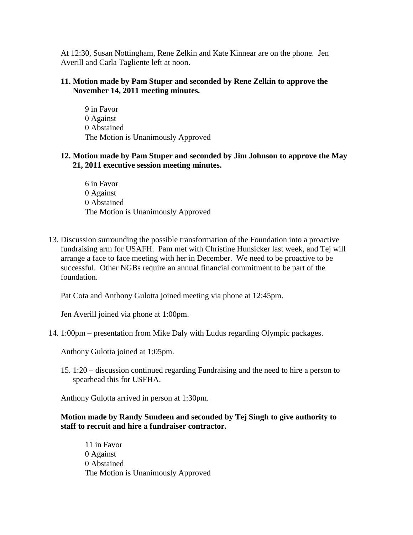At 12:30, Susan Nottingham, Rene Zelkin and Kate Kinnear are on the phone. Jen Averill and Carla Tagliente left at noon.

## **11. Motion made by Pam Stuper and seconded by Rene Zelkin to approve the November 14, 2011 meeting minutes.**

9 in Favor 0 Against 0 Abstained The Motion is Unanimously Approved

# **12. Motion made by Pam Stuper and seconded by Jim Johnson to approve the May 21, 2011 executive session meeting minutes.**

6 in Favor 0 Against 0 Abstained The Motion is Unanimously Approved

13. Discussion surrounding the possible transformation of the Foundation into a proactive fundraising arm for USAFH. Pam met with Christine Hunsicker last week, and Tej will arrange a face to face meeting with her in December. We need to be proactive to be successful. Other NGBs require an annual financial commitment to be part of the foundation.

Pat Cota and Anthony Gulotta joined meeting via phone at 12:45pm.

Jen Averill joined via phone at 1:00pm.

14. 1:00pm – presentation from Mike Daly with Ludus regarding Olympic packages.

Anthony Gulotta joined at 1:05pm.

15. 1:20 – discussion continued regarding Fundraising and the need to hire a person to spearhead this for USFHA.

Anthony Gulotta arrived in person at 1:30pm.

## **Motion made by Randy Sundeen and seconded by Tej Singh to give authority to staff to recruit and hire a fundraiser contractor.**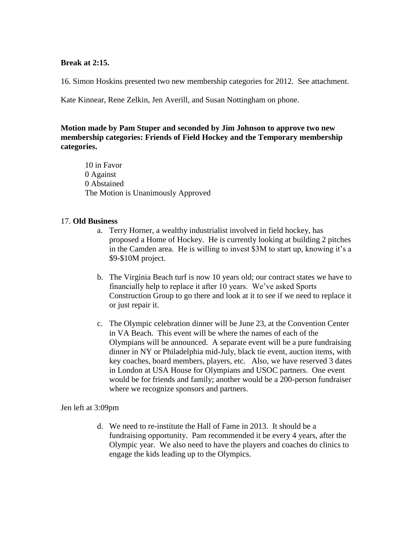### **Break at 2:15.**

16. Simon Hoskins presented two new membership categories for 2012. See attachment.

Kate Kinnear, Rene Zelkin, Jen Averill, and Susan Nottingham on phone.

# **Motion made by Pam Stuper and seconded by Jim Johnson to approve two new membership categories: Friends of Field Hockey and the Temporary membership categories.**

10 in Favor 0 Against 0 Abstained The Motion is Unanimously Approved

## 17. **Old Business**

- a. Terry Horner, a wealthy industrialist involved in field hockey, has proposed a Home of Hockey. He is currently looking at building 2 pitches in the Camden area. He is willing to invest \$3M to start up, knowing it's a \$9-\$10M project.
- b. The Virginia Beach turf is now 10 years old; our contract states we have to financially help to replace it after 10 years. We've asked Sports Construction Group to go there and look at it to see if we need to replace it or just repair it.
- c. The Olympic celebration dinner will be June 23, at the Convention Center in VA Beach. This event will be where the names of each of the Olympians will be announced. A separate event will be a pure fundraising dinner in NY or Philadelphia mid-July, black tie event, auction items, with key coaches, board members, players, etc. Also, we have reserved 3 dates in London at USA House for Olympians and USOC partners. One event would be for friends and family; another would be a 200-person fundraiser where we recognize sponsors and partners.

#### Jen left at 3:09pm

d. We need to re-institute the Hall of Fame in 2013. It should be a fundraising opportunity. Pam recommended it be every 4 years, after the Olympic year. We also need to have the players and coaches do clinics to engage the kids leading up to the Olympics.